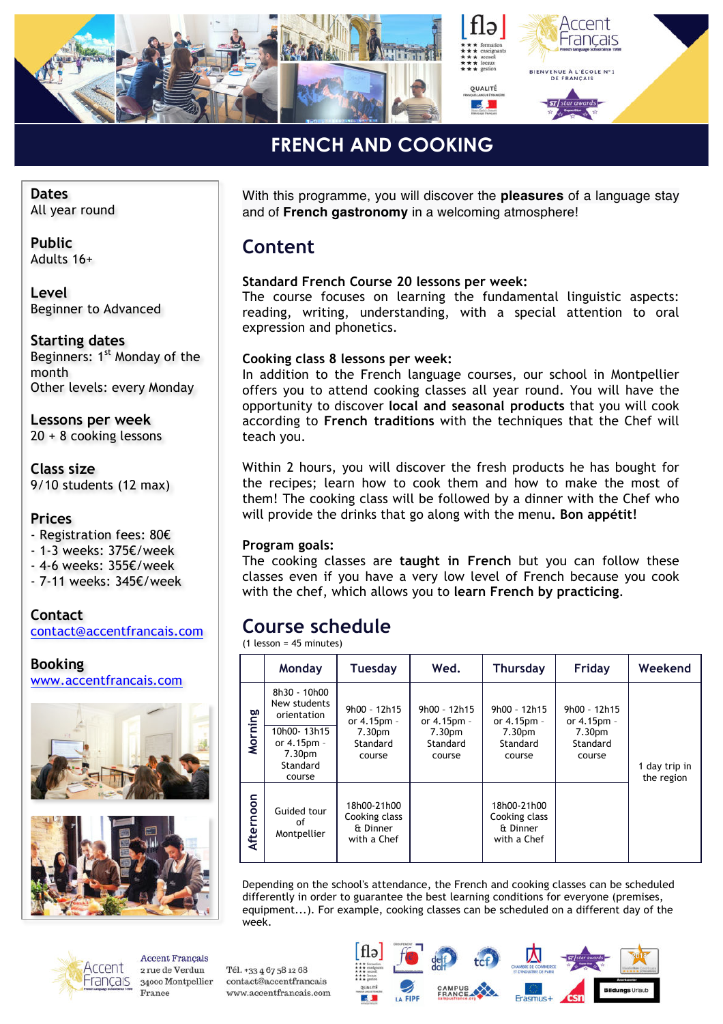

#### **FRENCH AND COOKING** *»*

**Dates** All year round

**Public** Adults 16+

**Level** Beginner to Advanced

**Starting dates** Beginners: 1<sup>st</sup> Monday of the month Other levels: every Monday

**Lessons per week** 20 + 8 cooking lessons

**Class size** 9/10 students (12 max)

#### **Prices**

- Registration fees: 80€

- 1-3 weeks: 375€/week
- 4-6 weeks: 355€/week

- 7-11 weeks: 345€/week

**Contact** contact@accentfrancais.com

**Booking** www.accentfrancais.com





Accent -rancais

**Accent Francais** 2 rue de Verdun 34000 Montpellier France

Tél. +33 4 67 58 12 68

contact@accentfrancais

www.accentfrancais.com

With this programme, you will discover the **pleasures** of a language stay and of **French gastronomy** in a welcoming atmosphere!

### **Content**

#### **Standard French Course 20 lessons per week:**

The course focuses on learning the fundamental linguistic aspects: reading, writing, understanding, with a special attention to oral expression and phonetics.

#### **Cooking class 8 lessons per week:**

In addition to the French language courses, our school in Montpellier offers you to attend cooking classes all year round. You will have the opportunity to discover **local and seasonal products** that you will cook according to **French traditions** with the techniques that the Chef will teach you.

Within 2 hours, you will discover the fresh products he has bought for the recipes; learn how to cook them and how to make the most of them! The cooking class will be followed by a dinner with the Chef who will provide the drinks that go along with the menu**. Bon appétit!**

#### **Program goals:**

The cooking classes are **taught in French** but you can follow these classes even if you have a very low level of French because you cook with the chef, which allows you to **learn French by practicing**.

## **Course schedule**

(1 lesson = 45 minutes)

|           | Monday                                                                 | <b>Tuesday</b>                                          | Wed.                                                          | Thursday                                                | Friday                                   | Weekend                     |  |
|-----------|------------------------------------------------------------------------|---------------------------------------------------------|---------------------------------------------------------------|---------------------------------------------------------|------------------------------------------|-----------------------------|--|
| Morning   | 8h30 - 10h00<br>New students<br>orientation                            | $9h00 - 12h15$<br>or 4.15pm -                           | $9h00 - 12h15$<br>or 4.15pm -<br>7.30pm<br>Standard<br>course | $9h00 - 12h15$<br>or 4.15pm -                           | 9h00 - 12h15<br>or 4.15pm -              | 1 day trip in<br>the region |  |
|           | 10h00-13h15<br>or 4.15pm -<br>7.30 <sub>pm</sub><br>Standard<br>course | 7.30 <sub>pm</sub><br>Standard<br>course                |                                                               | 7.30pm<br>Standard<br>course                            | 7.30 <sub>pm</sub><br>Standard<br>course |                             |  |
| Afternoon | Guided tour<br>οf<br>Montpellier                                       | 18h00-21h00<br>Cooking class<br>& Dinner<br>with a Chef |                                                               | 18h00-21h00<br>Cooking class<br>& Dinner<br>with a Chef |                                          |                             |  |

Depending on the school's attendance, the French and cooking classes can be scheduled differently in order to guarantee the best learning conditions for everyone (premises, equipment...). For example, cooking classes can be scheduled on a different day of the week.